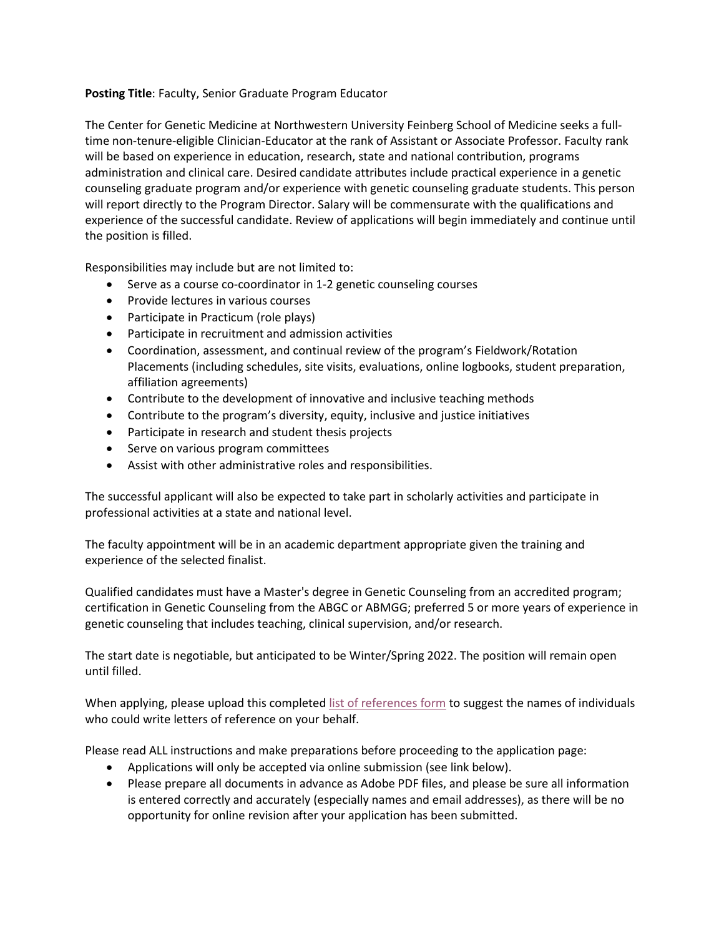## **Posting Title**: Faculty, Senior Graduate Program Educator

The Center for Genetic Medicine at Northwestern University Feinberg School of Medicine seeks a fulltime non-tenure-eligible Clinician-Educator at the rank of Assistant or Associate Professor. Faculty rank will be based on experience in education, research, state and national contribution, programs administration and clinical care. Desired candidate attributes include practical experience in a genetic counseling graduate program and/or experience with genetic counseling graduate students. This person will report directly to the Program Director. Salary will be commensurate with the qualifications and experience of the successful candidate. Review of applications will begin immediately and continue until the position is filled.

Responsibilities may include but are not limited to:

- Serve as a course co-coordinator in 1-2 genetic counseling courses
- Provide lectures in various courses
- Participate in Practicum (role plays)
- Participate in recruitment and admission activities
- Coordination, assessment, and continual review of the program's Fieldwork/Rotation Placements (including schedules, site visits, evaluations, online logbooks, student preparation, affiliation agreements)
- Contribute to the development of innovative and inclusive teaching methods
- Contribute to the program's diversity, equity, inclusive and justice initiatives
- Participate in research and student thesis projects
- Serve on various program committees
- Assist with other administrative roles and responsibilities.

The successful applicant will also be expected to take part in scholarly activities and participate in professional activities at a state and national level.

The faculty appointment will be in an academic department appropriate given the training and experience of the selected finalist.

Qualified candidates must have a Master's degree in Genetic Counseling from an accredited program; certification in Genetic Counseling from the ABGC or ABMGG; preferred 5 or more years of experience in genetic counseling that includes teaching, clinical supervision, and/or research.

The start date is negotiable, but anticipated to be Winter/Spring 2022. The position will remain open until filled.

When applying, please upload this completed [list of references form](http://www.feinberg.northwestern.edu/fao/docs/admin-fac-reg-tracks/Recruitment/FSM-List-of-References-for-New-Faculty.docx) to suggest the names of individuals who could write letters of reference on your behalf.

Please read ALL instructions and make preparations before proceeding to the application page:

- Applications will only be accepted via online submission (see link below).
- Please prepare all documents in advance as Adobe PDF files, and please be sure all information is entered correctly and accurately (especially names and email addresses), as there will be no opportunity for online revision after your application has been submitted.